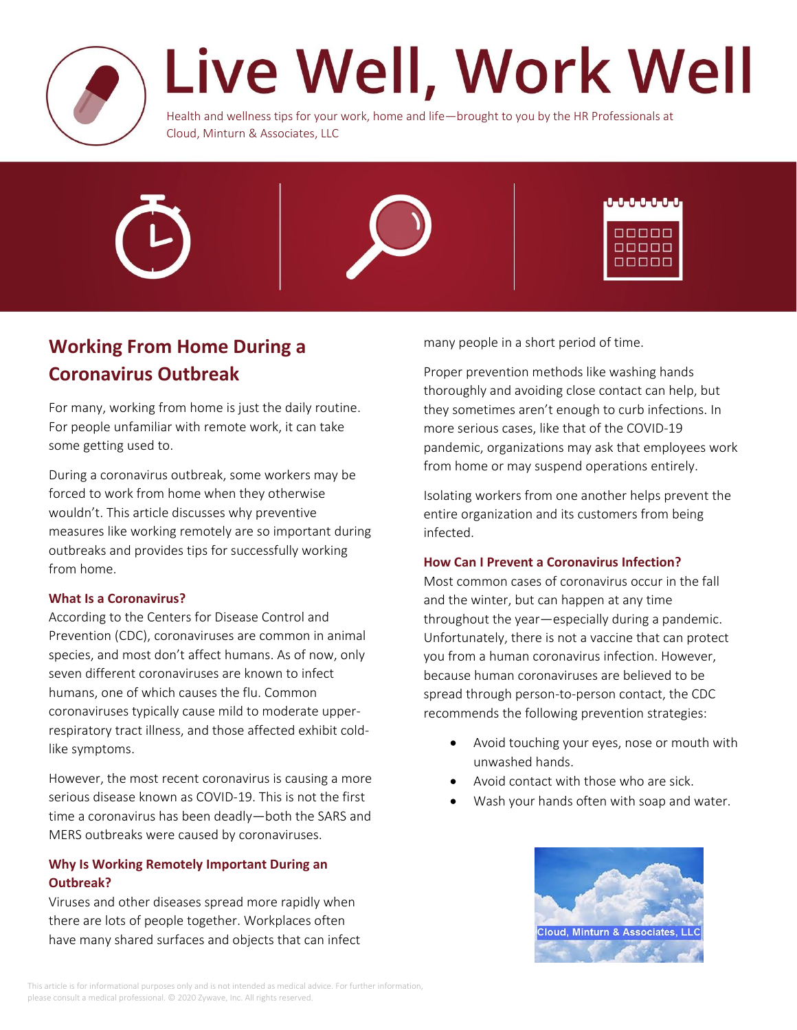

# Live Well, Work Well

Health and wellness tips for your work, home and life—brought to you by the HR Professionals at Cloud, Minturn & Associates, LLC







# **Working From Home During a Coronavirus Outbreak**

For many, working from home is just the daily routine. For people unfamiliar with remote work, it can take some getting used to.

During a coronavirus outbreak, some workers may be forced to work from home when they otherwise wouldn't. This article discusses why preventive measures like working remotely are so important during outbreaks and provides tips for successfully working from home.

### **What Is a Coronavirus?**

According to the Centers for Disease Control and Prevention (CDC), coronaviruses are common in animal species, and most don't affect humans. As of now, only seven different coronaviruses are known to infect humans, one of which causes the flu. Common coronaviruses typically cause mild to moderate upperrespiratory tract illness, and those affected exhibit coldlike symptoms.

However, the most recent coronavirus is causing a more serious disease known as COVID-19. This is not the first time a coronavirus has been deadly—both the SARS and MERS outbreaks were caused by coronaviruses.

## **Why Is Working Remotely Important During an Outbreak?**

Viruses and other diseases spread more rapidly when there are lots of people together. Workplaces often have many shared surfaces and objects that can infect many people in a short period of time.

Proper prevention methods like washing hands thoroughly and avoiding close contact can help, but they sometimes aren't enough to curb infections. In more serious cases, like that of the COVID-19 pandemic, organizations may ask that employees work from home or may suspend operations entirely.

Isolating workers from one another helps prevent the entire organization and its customers from being infected.

#### **How Can I Prevent a Coronavirus Infection?**

Most common cases of coronavirus occur in the fall and the winter, but can happen at any time throughout the year—especially during a pandemic. Unfortunately, there is not a vaccine that can protect you from a human coronavirus infection. However, because human coronaviruses are believed to be spread through person-to-person contact, the CDC recommends the following prevention strategies:

- Avoid touching your eyes, nose or mouth with unwashed hands.
- Avoid contact with those who are sick.
- Wash your hands often with soap and water.